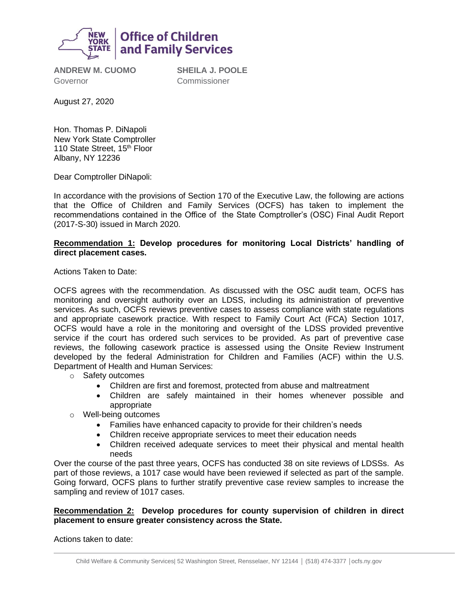

**ANDREW M. CUOMO** Governor

**SHEILA J. POOLE** Commissioner

August 27, 2020

Hon. Thomas P. DiNapoli New York State Comptroller 110 State Street, 15<sup>th</sup> Floor Albany, NY 12236

Dear Comptroller DiNapoli:

In accordance with the provisions of Section 170 of the Executive Law, the following are actions that the Office of Children and Family Services (OCFS) has taken to implement the recommendations contained in the Office of the State Comptroller's (OSC) Final Audit Report (2017-S-30) issued in March 2020.

# **Recommendation 1: Develop procedures for monitoring Local Districts' handling of direct placement cases.**

Actions Taken to Date:

OCFS agrees with the recommendation. As discussed with the OSC audit team, OCFS has monitoring and oversight authority over an LDSS, including its administration of preventive services. As such, OCFS reviews preventive cases to assess compliance with state regulations and appropriate casework practice. With respect to Family Court Act (FCA) Section 1017, OCFS would have a role in the monitoring and oversight of the LDSS provided preventive service if the court has ordered such services to be provided. As part of preventive case reviews, the following casework practice is assessed using the Onsite Review Instrument developed by the federal Administration for Children and Families (ACF) within the U.S. Department of Health and Human Services:

- o Safety outcomes
	- Children are first and foremost, protected from abuse and maltreatment
	- Children are safely maintained in their homes whenever possible and appropriate
- o Well-being outcomes
	- Families have enhanced capacity to provide for their children's needs
	- Children receive appropriate services to meet their education needs
	- Children received adequate services to meet their physical and mental health needs

Over the course of the past three years, OCFS has conducted 38 on site reviews of LDSSs. As part of those reviews, a 1017 case would have been reviewed if selected as part of the sample. Going forward, OCFS plans to further stratify preventive case review samples to increase the sampling and review of 1017 cases.

# **Recommendation 2: Develop procedures for county supervision of children in direct placement to ensure greater consistency across the State.**

Actions taken to date: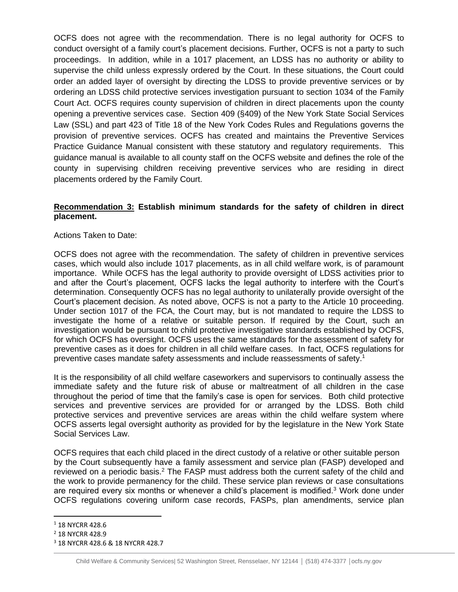OCFS does not agree with the recommendation. There is no legal authority for OCFS to conduct oversight of a family court's placement decisions. Further, OCFS is not a party to such proceedings. In addition, while in a 1017 placement, an LDSS has no authority or ability to supervise the child unless expressly ordered by the Court. In these situations, the Court could order an added layer of oversight by directing the LDSS to provide preventive services or by ordering an LDSS child protective services investigation pursuant to section 1034 of the Family Court Act. OCFS requires county supervision of children in direct placements upon the county opening a preventive services case. Section 409 (§409) of the New York State Social Services Law (SSL) and part 423 of Title 18 of the New York Codes Rules and Regulations governs the provision of preventive services. OCFS has created and maintains the Preventive Services Practice Guidance Manual consistent with these statutory and regulatory requirements. This guidance manual is available to all county staff on the OCFS website and defines the role of the county in supervising children receiving preventive services who are residing in direct placements ordered by the Family Court.

# **Recommendation 3: Establish minimum standards for the safety of children in direct placement.**

# Actions Taken to Date:

OCFS does not agree with the recommendation. The safety of children in preventive services cases, which would also include 1017 placements, as in all child welfare work, is of paramount importance. While OCFS has the legal authority to provide oversight of LDSS activities prior to and after the Court's placement, OCFS lacks the legal authority to interfere with the Court's determination. Consequently OCFS has no legal authority to unilaterally provide oversight of the Court's placement decision. As noted above, OCFS is not a party to the Article 10 proceeding. Under section 1017 of the FCA, the Court may, but is not mandated to require the LDSS to investigate the home of a relative or suitable person. If required by the Court, such an investigation would be pursuant to child protective investigative standards established by OCFS, for which OCFS has oversight. OCFS uses the same standards for the assessment of safety for preventive cases as it does for children in all child welfare cases. In fact, OCFS regulations for preventive cases mandate safety assessments and include reassessments of safety.<sup>1</sup>

It is the responsibility of all child welfare caseworkers and supervisors to continually assess the immediate safety and the future risk of abuse or maltreatment of all children in the case throughout the period of time that the family's case is open for services. Both child protective services and preventive services are provided for or arranged by the LDSS. Both child protective services and preventive services are areas within the child welfare system where OCFS asserts legal oversight authority as provided for by the legislature in the New York State Social Services Law.

OCFS requires that each child placed in the direct custody of a relative or other suitable person by the Court subsequently have a family assessment and service plan (FASP) developed and reviewed on a periodic basis.<sup>2</sup> The FASP must address both the current safety of the child and the work to provide permanency for the child. These service plan reviews or case consultations are required every six months or whenever a child's placement is modified.<sup>3</sup> Work done under OCFS regulations covering uniform case records, FASPs, plan amendments, service plan

<sup>&</sup>lt;sup>1</sup> 18 NYCRR 428.6

<sup>2</sup> 18 NYCRR 428.9

<sup>3</sup> 18 NYCRR 428.6 & 18 NYCRR 428.7